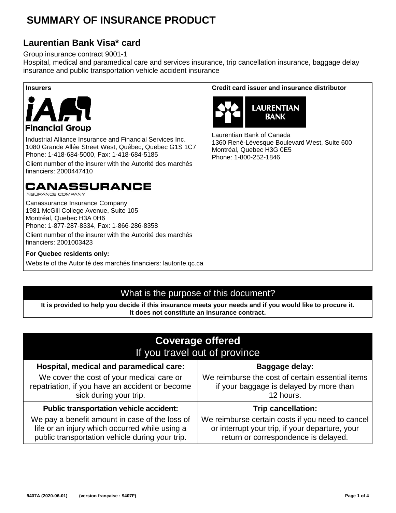# **SUMMARY OF INSURANCE PRODUCT**

#### **Laurentian Bank Visa\* card**

Group insurance contract 9001-1

Hospital, medical and paramedical care and services insurance, trip cancellation insurance, baggage delay insurance and public transportation vehicle accident insurance



Industrial Alliance Insurance and Financial Services Inc. 1080 Grande Allée Street West, Québec, Quebec G1S 1C7 Phone: 1-418-684-5000, Fax: 1-418-684-5185

Client number of the insurer with the Autorité des marchés financiers: 2000447410

# **CANASSURANCE**

**INSURANCE COMPANY** 

Canassurance Insurance Company 1981 McGill College Avenue, Suite 105 Montréal, Quebec H3A 0H6 Phone: 1-877-287-8334, Fax: 1-866-286-8358

Client number of the insurer with the Autorité des marchés financiers: 2001003423

**For Quebec residents only:**

Website of the Autorité des marchés financiers: lautorite.qc.ca

#### **Insurers Credit card issuer and insurance distributor**



Laurentian Bank of Canada 1360 René-Lévesque Boulevard West, Suite 600 Montréal, Quebec H3G 0E5 Phone: 1-800-252-1846

#### What is the purpose of this document?

**It is provided to help you decide if this insurance meets your needs and if you would like to procure it. It does not constitute an insurance contract.**

| <b>Coverage offered</b><br>If you travel out of province                                                                                            |                                                                                                                                             |  |  |
|-----------------------------------------------------------------------------------------------------------------------------------------------------|---------------------------------------------------------------------------------------------------------------------------------------------|--|--|
| Hospital, medical and paramedical care:                                                                                                             | <b>Baggage delay:</b>                                                                                                                       |  |  |
| We cover the cost of your medical care or<br>repatriation, if you have an accident or become<br>sick during your trip.                              | We reimburse the cost of certain essential items<br>if your baggage is delayed by more than<br>12 hours.                                    |  |  |
| <b>Public transportation vehicle accident:</b>                                                                                                      | <b>Trip cancellation:</b>                                                                                                                   |  |  |
| We pay a benefit amount in case of the loss of<br>life or an injury which occurred while using a<br>public transportation vehicle during your trip. | We reimburse certain costs if you need to cancel<br>or interrupt your trip, if your departure, your<br>return or correspondence is delayed. |  |  |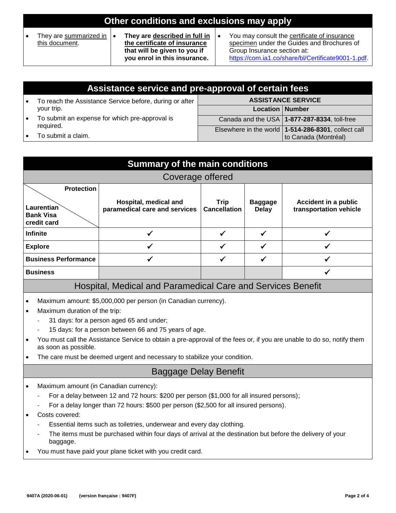# **Other conditions and exclusions may apply**

• They are summarized in this document.

• **They are described in full in the certificate of insurance that will be given to you if you enrol in this insurance.**

• You may consult the certificate of insurance specimen under the Guides and Brochures of Group Insurance section at: https://com.ia1.co/share/bl/Certificate9001-1.pdf.

| Assistance service and pre-approval of certain fees                               |                           |                                                       |  |
|-----------------------------------------------------------------------------------|---------------------------|-------------------------------------------------------|--|
| To reach the Assistance Service before, during or after                           | <b>ASSISTANCE SERVICE</b> |                                                       |  |
| your trip.                                                                        | <b>Location   Number</b>  |                                                       |  |
| To submit an expense for which pre-approval is<br>required.<br>To submit a claim. |                           | Canada and the USA   1-877-287-8334, toll-free        |  |
|                                                                                   |                           | Elsewhere in the world   1-514-286-8301, collect call |  |
|                                                                                   |                           | to Canada (Montréal)                                  |  |

| <b>Summary of the main conditions</b>                              |                                                                                                                                                                                                                                                                                                                                                                                                                                                                                                                |                                                        |                                    |                                |                                                       |
|--------------------------------------------------------------------|----------------------------------------------------------------------------------------------------------------------------------------------------------------------------------------------------------------------------------------------------------------------------------------------------------------------------------------------------------------------------------------------------------------------------------------------------------------------------------------------------------------|--------------------------------------------------------|------------------------------------|--------------------------------|-------------------------------------------------------|
| Coverage offered                                                   |                                                                                                                                                                                                                                                                                                                                                                                                                                                                                                                |                                                        |                                    |                                |                                                       |
| <b>Protection</b><br>Laurentian<br><b>Bank Visa</b><br>credit card |                                                                                                                                                                                                                                                                                                                                                                                                                                                                                                                | Hospital, medical and<br>paramedical care and services | <b>Trip</b><br><b>Cancellation</b> | <b>Baggage</b><br><b>Delay</b> | <b>Accident in a public</b><br>transportation vehicle |
| <b>Infinite</b>                                                    |                                                                                                                                                                                                                                                                                                                                                                                                                                                                                                                | $\checkmark$                                           | $\checkmark$                       | $\checkmark$                   | $\checkmark$                                          |
|                                                                    | <b>Explore</b>                                                                                                                                                                                                                                                                                                                                                                                                                                                                                                 | ✓                                                      | $\checkmark$                       | ✓                              |                                                       |
|                                                                    | <b>Business Performance</b>                                                                                                                                                                                                                                                                                                                                                                                                                                                                                    |                                                        | ✓                                  | ✓                              |                                                       |
| <b>Business</b>                                                    |                                                                                                                                                                                                                                                                                                                                                                                                                                                                                                                |                                                        |                                    |                                |                                                       |
| Hospital, Medical and Paramedical Care and Services Benefit        |                                                                                                                                                                                                                                                                                                                                                                                                                                                                                                                |                                                        |                                    |                                |                                                       |
| $\bullet$<br>$\bullet$<br>$\bullet$                                | Maximum amount: \$5,000,000 per person (in Canadian currency).<br>Maximum duration of the trip:<br>31 days: for a person aged 65 and under;<br>15 days: for a person between 66 and 75 years of age.<br>You must call the Assistance Service to obtain a pre-approval of the fees or, if you are unable to do so, notify them<br>as soon as possible.<br>The care must be deemed urgent and necessary to stabilize your condition.                                                                             |                                                        |                                    |                                |                                                       |
| <b>Baggage Delay Benefit</b>                                       |                                                                                                                                                                                                                                                                                                                                                                                                                                                                                                                |                                                        |                                    |                                |                                                       |
| $\bullet$<br>$\bullet$                                             | Maximum amount (in Canadian currency):<br>For a delay between 12 and 72 hours: \$200 per person (\$1,000 for all insured persons);<br>For a delay longer than 72 hours: \$500 per person (\$2,500 for all insured persons).<br>Costs covered:<br>Essential items such as toiletries, underwear and every day clothing.<br>The items must be purchased within four days of arrival at the destination but before the delivery of your<br>baggage.<br>You must have paid your plane ticket with you credit card. |                                                        |                                    |                                |                                                       |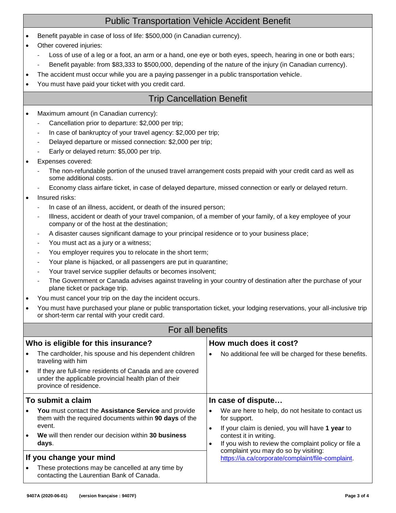## Public Transportation Vehicle Accident Benefit

- Benefit payable in case of loss of life: \$500,000 (in Canadian currency).
- Other covered injuries:
	- Loss of use of a leg or a foot, an arm or a hand, one eye or both eyes, speech, hearing in one or both ears;
	- Benefit payable: from \$83,333 to \$500,000, depending of the nature of the injury (in Canadian currency).
- The accident must occur while you are a paying passenger in a public transportation vehicle.
- You must have paid your ticket with you credit card.

#### Trip Cancellation Benefit

- Maximum amount (in Canadian currency):
	- Cancellation prior to departure: \$2,000 per trip;
	- In case of bankruptcy of your travel agency: \$2,000 per trip;
	- Delayed departure or missed connection: \$2,000 per trip;
	- Early or delayed return: \$5,000 per trip.
- Expenses covered:
	- The non-refundable portion of the unused travel arrangement costs prepaid with your credit card as well as some additional costs.
	- Economy class airfare ticket, in case of delayed departure, missed connection or early or delayed return.
- Insured risks:
	- In case of an illness, accident, or death of the insured person;
	- Illness, accident or death of your travel companion, of a member of your family, of a key employee of your company or of the host at the destination;
	- A disaster causes significant damage to your principal residence or to your business place;
	- You must act as a jury or a witness;
	- You employer requires you to relocate in the short term;
	- Your plane is hijacked, or all passengers are put in quarantine;
	- Your travel service supplier defaults or becomes insolvent;
	- The Government or Canada advises against traveling in your country of destination after the purchase of your plane ticket or package trip.
- You must cancel your trip on the day the incident occurs.
- You must have purchased your plane or public transportation ticket, your lodging reservations, your all-inclusive trip or short-term car rental with your credit card.

|                                     | For all benefits                                                                                                                                   |                        |                                                                                                                                                                            |  |  |
|-------------------------------------|----------------------------------------------------------------------------------------------------------------------------------------------------|------------------------|----------------------------------------------------------------------------------------------------------------------------------------------------------------------------|--|--|
| Who is eligible for this insurance? |                                                                                                                                                    | How much does it cost? |                                                                                                                                                                            |  |  |
|                                     | The cardholder, his spouse and his dependent children<br>traveling with him                                                                        | ٠                      | No additional fee will be charged for these benefits.                                                                                                                      |  |  |
| $\bullet$                           | If they are full-time residents of Canada and are covered<br>under the applicable provincial health plan of their<br>province of residence.        |                        |                                                                                                                                                                            |  |  |
| To submit a claim                   |                                                                                                                                                    | In case of dispute     |                                                                                                                                                                            |  |  |
|                                     | <b>You</b> must contact the <b>Assistance Service</b> and provide<br>them with the required documents within 90 days of the<br>event.<br>$\bullet$ |                        | We are here to help, do not hesitate to contact us<br>for support.                                                                                                         |  |  |
|                                     |                                                                                                                                                    |                        | If your claim is denied, you will have 1 year to<br>contest it in writing.<br>If you wish to review the complaint policy or file a<br>complaint you may do so by visiting: |  |  |
|                                     | We will then render our decision within 30 business<br>days.                                                                                       | ٠                      |                                                                                                                                                                            |  |  |
| If you change your mind             |                                                                                                                                                    |                        | https://ia.ca/corporate/complaint/file-complaint.                                                                                                                          |  |  |
|                                     | These protections may be cancelled at any time by<br>contacting the Laurentian Bank of Canada.                                                     |                        |                                                                                                                                                                            |  |  |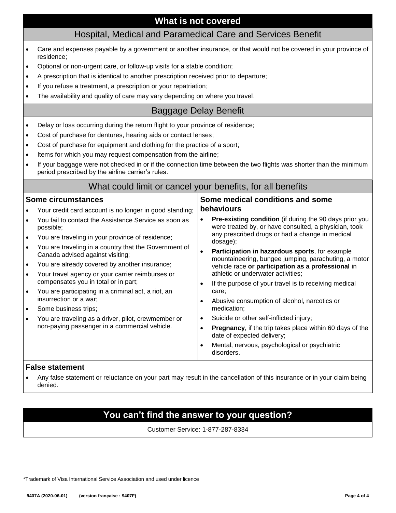#### **What is not covered**

#### Hospital, Medical and Paramedical Care and Services Benefit

- Care and expenses payable by a government or another insurance, or that would not be covered in your province of residence;
- Optional or non-urgent care, or follow-up visits for a stable condition;
- A prescription that is identical to another prescription received prior to departure;
- If you refuse a treatment, a prescription or your repatriation;
- The availability and quality of care may vary depending on where you travel.

#### Baggage Delay Benefit

- Delay or loss occurring during the return flight to your province of residence;
- Cost of purchase for dentures, hearing aids or contact lenses;
- Cost of purchase for equipment and clothing for the practice of a sport;
- Items for which you may request compensation from the airline;
- If your baggage were not checked in or if the connection time between the two flights was shorter than the minimum period prescribed by the airline carrier's rules.

#### What could limit or cancel your benefits, for all benefits

dosage);

care;

medication;

disorders.

**Some medical conditions and some** 

athletic or underwater activities;

Suicide or other self-inflicted injury;

date of expected delivery;

**Pre-existing condition** (if during the 90 days prior you were treated by, or have consulted, a physician, took any prescribed drugs or had a change in medical

• **Participation in hazardous sports**, for example mountaineering, bungee jumping, parachuting, a motor vehicle race **or participation as a professional** in

• If the purpose of your travel is to receiving medical

• Abusive consumption of alcohol, narcotics or

Mental, nervous, psychological or psychiatric

**Pregnancy**, if the trip takes place within 60 days of the

#### **Some circumstances**

|  | Your credit card account is no longer in good standing; <b>behaviours</b> |  |
|--|---------------------------------------------------------------------------|--|
|--|---------------------------------------------------------------------------|--|

- You fail to contact the Assistance Service as soon as possible;
- You are traveling in your province of residence;
- You are traveling in a country that the Government of Canada advised against visiting;
- You are already covered by another insurance;
- Your travel agency or your carrier reimburses or compensates you in total or in part;
- You are participating in a criminal act, a riot, an insurrection or a war;
- Some business trips;
- You are traveling as a driver, pilot, crewmember or non-paying passenger in a commercial vehicle.

#### **False statement**

• Any false statement or reluctance on your part may result in the cancellation of this insurance or in your claim being denied.

### **You can't find the answer to your question?**

Customer Service: 1-877-287-8334

\*Trademark of Visa International Service Association and used under licence